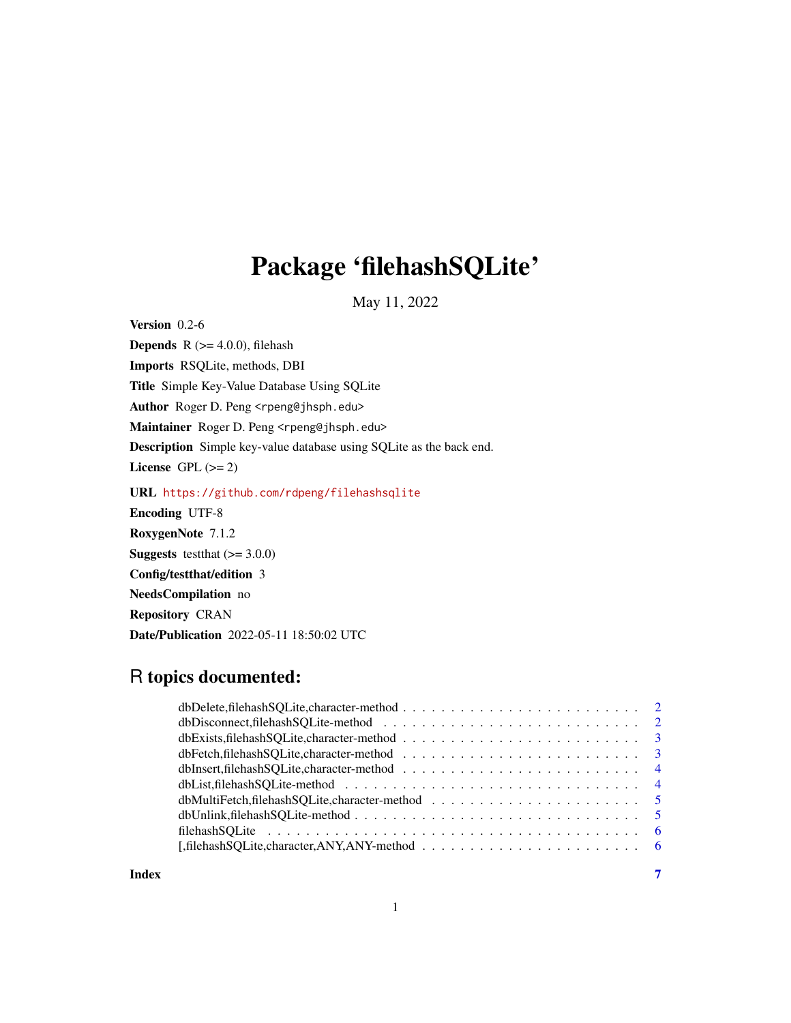## Package 'filehashSQLite'

May 11, 2022

Version 0.2-6

**Depends** R  $(>= 4.0.0)$ , filehash Imports RSQLite, methods, DBI Title Simple Key-Value Database Using SQLite Author Roger D. Peng <rpeng@jhsph.edu> Maintainer Roger D. Peng <rpeng@jhsph.edu> Description Simple key-value database using SQLite as the back end. License GPL  $(>= 2)$ URL <https://github.com/rdpeng/filehashsqlite> Encoding UTF-8 RoxygenNote 7.1.2 **Suggests** testthat  $(>= 3.0.0)$ Config/testthat/edition 3 NeedsCompilation no Repository CRAN Date/Publication 2022-05-11 18:50:02 UTC

### R topics documented:

| dbExists, filehash SOLite, character-method $\ldots$ , , , , , ,  3                                             |  |
|-----------------------------------------------------------------------------------------------------------------|--|
|                                                                                                                 |  |
|                                                                                                                 |  |
|                                                                                                                 |  |
| $dbMultiFetch, file has hSOLite, character-method \dots \dots \dots \dots \dots \dots \dots \dots \dots \dots$  |  |
|                                                                                                                 |  |
|                                                                                                                 |  |
| [, filehash SQLite, character, ANY, ANY-method $\ldots \ldots \ldots \ldots \ldots \ldots \ldots \ldots \ldots$ |  |
|                                                                                                                 |  |

#### **Index** [7](#page-6-0) **7**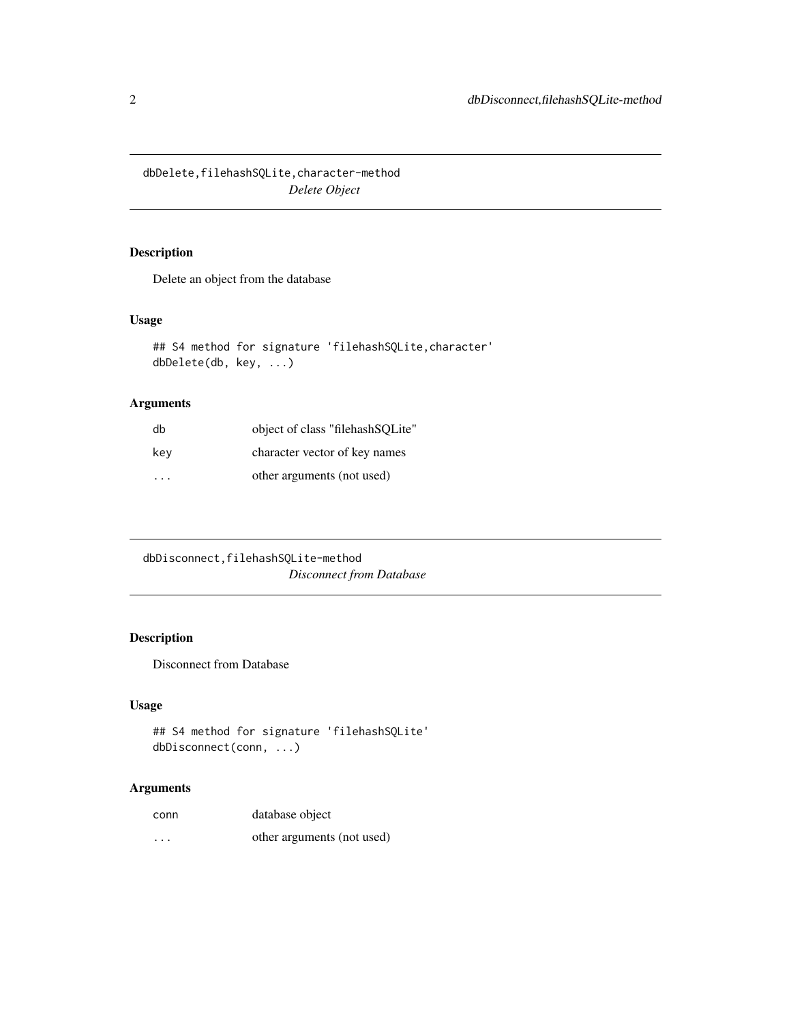<span id="page-1-0"></span>dbDelete,filehashSQLite,character-method *Delete Object*

#### Description

Delete an object from the database

#### Usage

```
## S4 method for signature 'filehashSQLite,character'
dbDelete(db, key, ...)
```
#### Arguments

| db  | object of class "filehash SQLite" |
|-----|-----------------------------------|
| key | character vector of key names     |
| .   | other arguments (not used)        |

dbDisconnect,filehashSQLite-method *Disconnect from Database*

#### Description

Disconnect from Database

#### Usage

```
## S4 method for signature 'filehashSQLite'
dbDisconnect(conn, ...)
```

| conn                    | database object            |
|-------------------------|----------------------------|
| $\cdot$ $\cdot$ $\cdot$ | other arguments (not used) |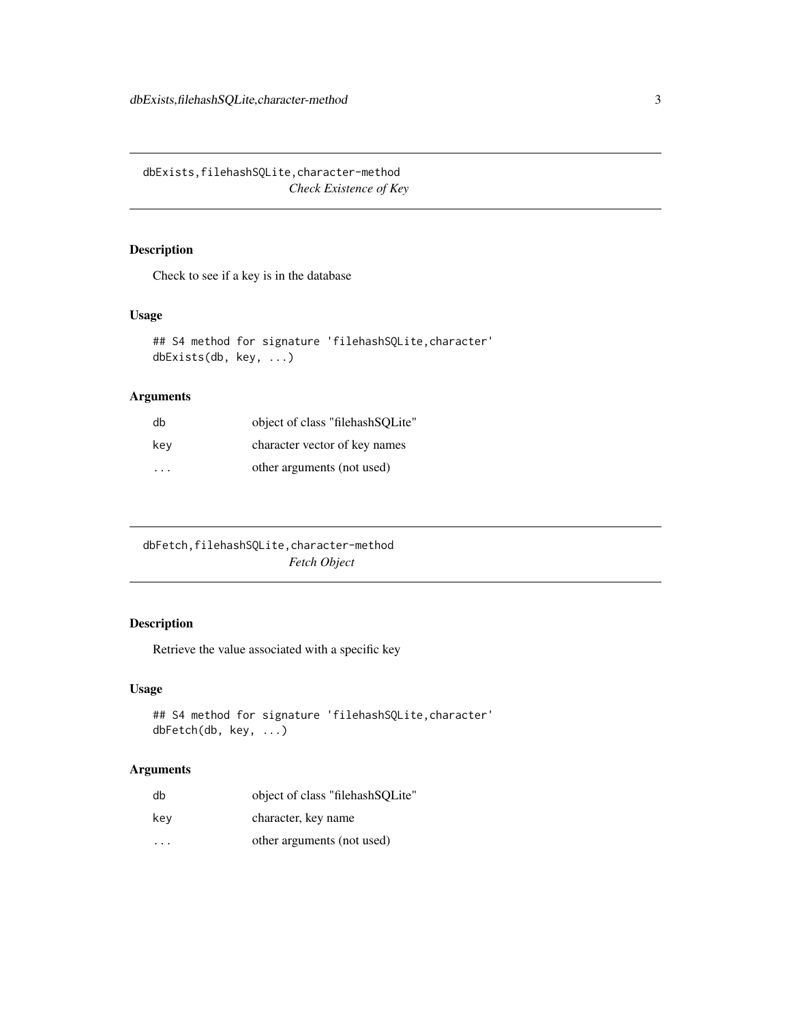<span id="page-2-0"></span>dbExists,filehashSQLite,character-method *Check Existence of Key*

#### Description

Check to see if a key is in the database

#### Usage

```
## S4 method for signature 'filehashSQLite,character'
dbExists(db, key, ...)
```
#### Arguments

| db  | object of class "filehash SQLite" |
|-----|-----------------------------------|
| kev | character vector of key names     |
| .   | other arguments (not used)        |

| dbFetch, filehashSQLite, character-method |
|-------------------------------------------|
| <b>Fetch Object</b>                       |

#### Description

Retrieve the value associated with a specific key

#### Usage

```
## S4 method for signature 'filehashSQLite,character'
dbFetch(db, key, ...)
```

| db                      | object of class "filehashSQLite" |
|-------------------------|----------------------------------|
| key                     | character, key name              |
| $\cdot$ $\cdot$ $\cdot$ | other arguments (not used)       |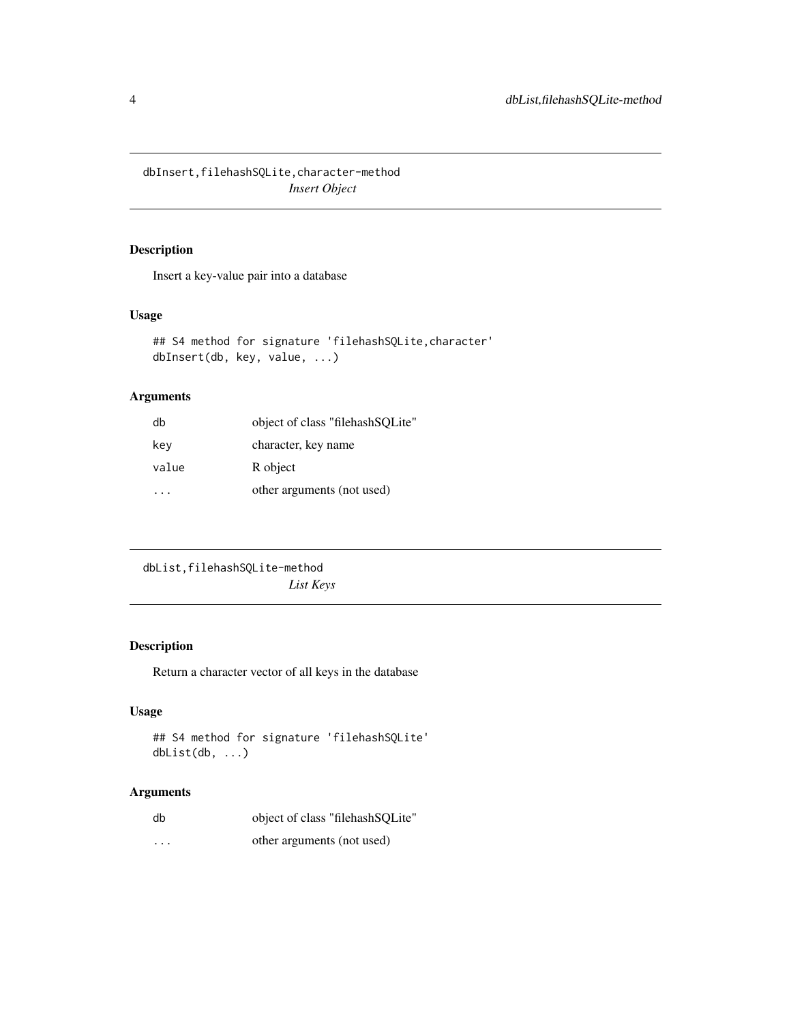<span id="page-3-0"></span>dbInsert,filehashSQLite,character-method *Insert Object*

#### Description

Insert a key-value pair into a database

#### Usage

```
## S4 method for signature 'filehashSQLite,character'
dbInsert(db, key, value, ...)
```
#### Arguments

| db    | object of class "filehash SQLite" |
|-------|-----------------------------------|
| key   | character, key name               |
| value | R object                          |
|       | other arguments (not used)        |

```
dbList,filehashSQLite-method
                       List Keys
```
#### Description

Return a character vector of all keys in the database

#### Usage

```
## S4 method for signature 'filehashSQLite'
dbList(db, ...)
```

| db       | object of class "filehashSQLite" |
|----------|----------------------------------|
| $\cdots$ | other arguments (not used)       |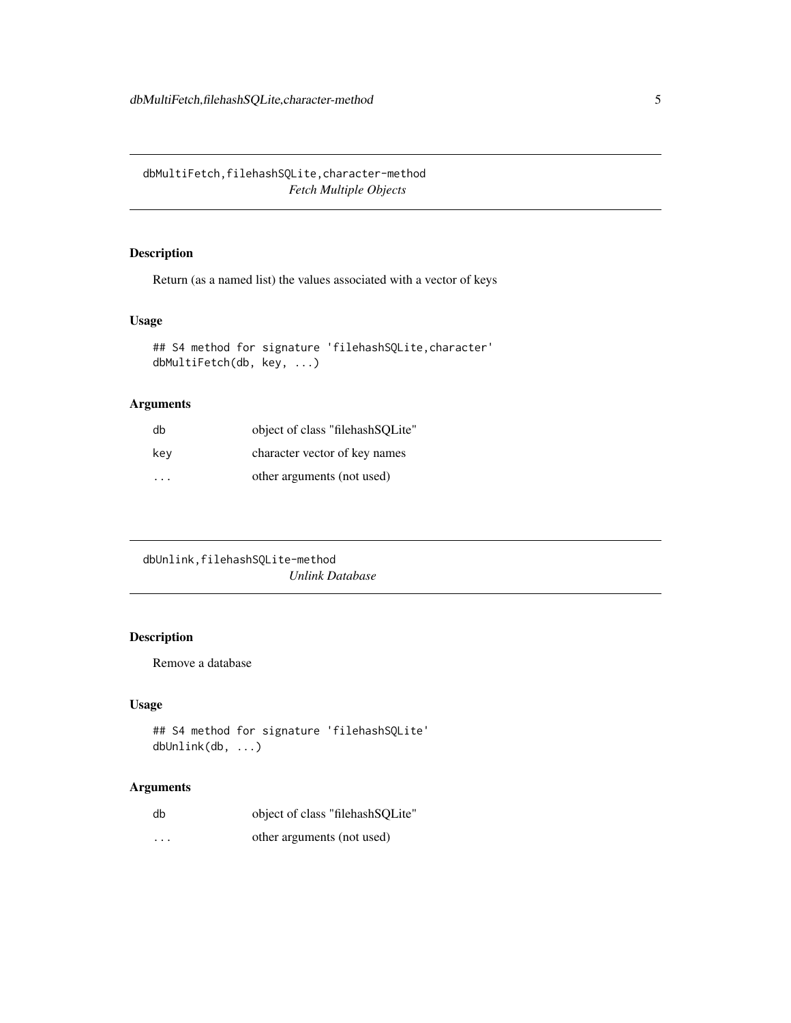<span id="page-4-0"></span>dbMultiFetch,filehashSQLite,character-method *Fetch Multiple Objects*

#### Description

Return (as a named list) the values associated with a vector of keys

#### Usage

```
## S4 method for signature 'filehashSQLite,character'
dbMultiFetch(db, key, ...)
```
#### Arguments

| db  | object of class "filehash SQLite" |
|-----|-----------------------------------|
| key | character vector of key names     |
| .   | other arguments (not used)        |

```
dbUnlink,filehashSQLite-method
                       Unlink Database
```
#### Description

Remove a database

#### Usage

```
## S4 method for signature 'filehashSQLite'
dbUnlink(db, ...)
```

| db       | object of class "filehashSQLite" |
|----------|----------------------------------|
| $\cdots$ | other arguments (not used)       |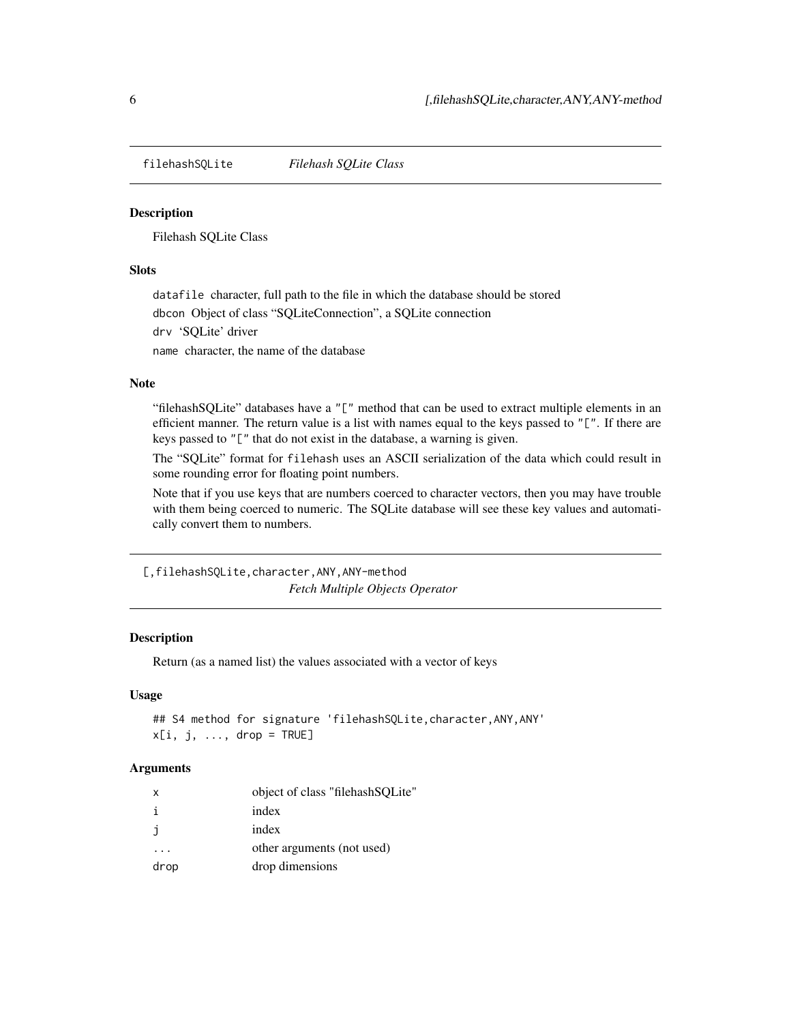<span id="page-5-0"></span>filehashSQLite *Filehash SQLite Class*

#### **Description**

Filehash SQLite Class

#### Slots

datafile character, full path to the file in which the database should be stored

dbcon Object of class "SQLiteConnection", a SQLite connection

drv 'SQLite' driver

name character, the name of the database

#### Note

"filehashSQLite" databases have a "[" method that can be used to extract multiple elements in an efficient manner. The return value is a list with names equal to the keys passed to "[". If there are keys passed to "[" that do not exist in the database, a warning is given.

The "SQLite" format for filehash uses an ASCII serialization of the data which could result in some rounding error for floating point numbers.

Note that if you use keys that are numbers coerced to character vectors, then you may have trouble with them being coerced to numeric. The SQLite database will see these key values and automatically convert them to numbers.

[,filehashSQLite,character,ANY,ANY-method *Fetch Multiple Objects Operator*

#### Description

Return (as a named list) the values associated with a vector of keys

#### Usage

```
## S4 method for signature 'filehashSQLite, character, ANY, ANY'
x[i, j, ..., drop = TRUE]
```

| X    | object of class "filehash SOLite" |
|------|-----------------------------------|
| i.   | index                             |
|      | index                             |
|      | other arguments (not used)        |
| drop | drop dimensions                   |